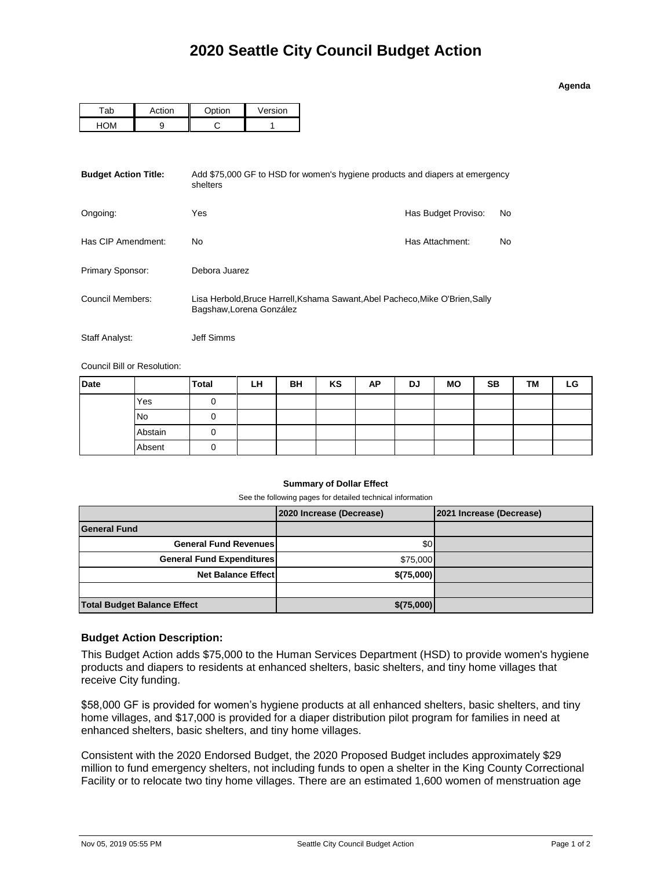| Adend |  |
|-------|--|
|       |  |

| -ab | Action | $\sim$ tion | Version |
|-----|--------|-------------|---------|
|     |        |             |         |

| <b>Budget Action Title:</b> | shelters                                                                                                  | Add \$75,000 GF to HSD for women's hygiene products and diapers at emergency |    |  |  |  |  |
|-----------------------------|-----------------------------------------------------------------------------------------------------------|------------------------------------------------------------------------------|----|--|--|--|--|
| Ongoing:                    | Yes                                                                                                       | Has Budget Proviso:                                                          | No |  |  |  |  |
| Has CIP Amendment:          | No                                                                                                        | Has Attachment:                                                              | No |  |  |  |  |
| Primary Sponsor:            | Debora Juarez                                                                                             |                                                                              |    |  |  |  |  |
| Council Members:            | Lisa Herbold, Bruce Harrell, Kshama Sawant, Abel Pacheco, Mike O'Brien, Sally<br>Bagshaw, Lorena González |                                                                              |    |  |  |  |  |
| Staff Analyst:              | Jeff Simms                                                                                                |                                                                              |    |  |  |  |  |

Council Bill or Resolution:

| <b>Date</b> |           | <b>Total</b> | LH | BH | KS | AP | DJ | <b>MO</b> | <b>SB</b> | ТM | LG |
|-------------|-----------|--------------|----|----|----|----|----|-----------|-----------|----|----|
|             | Yes       |              |    |    |    |    |    |           |           |    |    |
|             | <b>No</b> | U            |    |    |    |    |    |           |           |    |    |
|             | Abstain   | U            |    |    |    |    |    |           |           |    |    |
|             | Absent    | U            |    |    |    |    |    |           |           |    |    |

## **Summary of Dollar Effect**

See the following pages for detailed technical information

|                                    | 2020 Increase (Decrease) | 2021 Increase (Decrease) |
|------------------------------------|--------------------------|--------------------------|
| <b>General Fund</b>                |                          |                          |
| <b>General Fund Revenues</b>       | \$0                      |                          |
| <b>General Fund Expenditures</b>   | \$75,000                 |                          |
| <b>Net Balance Effect</b>          | \$(75,000)               |                          |
|                                    |                          |                          |
| <b>Total Budget Balance Effect</b> | \$ (75,000)              |                          |

## **Budget Action Description:**

This Budget Action adds \$75,000 to the Human Services Department (HSD) to provide women's hygiene products and diapers to residents at enhanced shelters, basic shelters, and tiny home villages that receive City funding.

\$58,000 GF is provided for women's hygiene products at all enhanced shelters, basic shelters, and tiny home villages, and \$17,000 is provided for a diaper distribution pilot program for families in need at enhanced shelters, basic shelters, and tiny home villages.

Consistent with the 2020 Endorsed Budget, the 2020 Proposed Budget includes approximately \$29 million to fund emergency shelters, not including funds to open a shelter in the King County Correctional Facility or to relocate two tiny home villages. There are an estimated 1,600 women of menstruation age